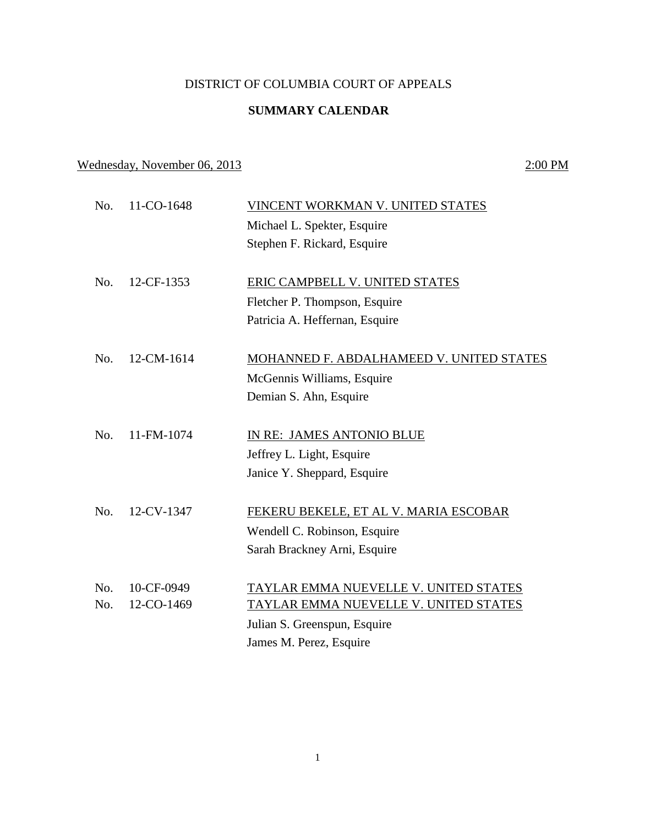## DISTRICT OF COLUMBIA COURT OF APPEALS

## **SUMMARY CALENDAR**

No. 11-CO-1648 VINCENT WORKMAN V. UNITED STATES

## Wednesday, November 06, 2013 2:00 PM

|     |            | Michael L. Spekter, Esquire              |
|-----|------------|------------------------------------------|
|     |            | Stephen F. Rickard, Esquire              |
| No. | 12-CF-1353 | <b>ERIC CAMPBELL V. UNITED STATES</b>    |
|     |            | Fletcher P. Thompson, Esquire            |
|     |            | Patricia A. Heffernan, Esquire           |
| No. | 12-CM-1614 | MOHANNED F. ABDALHAMEED V. UNITED STATES |
|     |            | McGennis Williams, Esquire               |
|     |            | Demian S. Ahn, Esquire                   |
| No. | 11-FM-1074 | IN RE: JAMES ANTONIO BLUE                |
|     |            | Jeffrey L. Light, Esquire                |
|     |            | Janice Y. Sheppard, Esquire              |
| No. | 12-CV-1347 | FEKERU BEKELE, ET AL V. MARIA ESCOBAR    |
|     |            | Wendell C. Robinson, Esquire             |
|     |            | Sarah Brackney Arni, Esquire             |
| No. | 10-CF-0949 | TAYLAR EMMA NUEVELLE V. UNITED STATES    |
| No. | 12-CO-1469 | TAYLAR EMMA NUEVELLE V. UNITED STATES    |
|     |            | Julian S. Greenspun, Esquire             |
|     |            | James M. Perez, Esquire                  |
|     |            |                                          |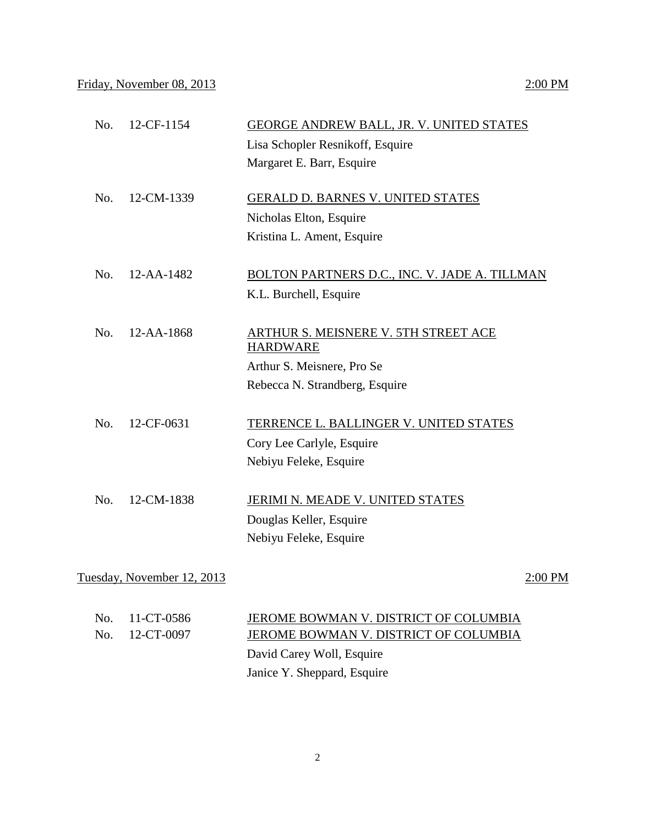| No. | 12-CF-1154       | GEORGE ANDREW BALL, JR. V. UNITED STATES                |
|-----|------------------|---------------------------------------------------------|
|     |                  | Lisa Schopler Resnikoff, Esquire                        |
|     |                  | Margaret E. Barr, Esquire                               |
| No. | 12-CM-1339       | <b>GERALD D. BARNES V. UNITED STATES</b>                |
|     |                  | Nicholas Elton, Esquire                                 |
|     |                  | Kristina L. Ament, Esquire                              |
|     |                  |                                                         |
| No. | 12-AA-1482       | <b>BOLTON PARTNERS D.C., INC. V. JADE A. TILLMAN</b>    |
|     |                  | K.L. Burchell, Esquire                                  |
|     |                  |                                                         |
| No. | $12 - AA - 1868$ | ARTHUR S. MEISNERE V. 5TH STREET ACE<br><b>HARDWARE</b> |
|     |                  | Arthur S. Meisnere, Pro Se                              |
|     |                  | Rebecca N. Strandberg, Esquire                          |
|     |                  |                                                         |
| No. | 12-CF-0631       | TERRENCE L. BALLINGER V. UNITED STATES                  |
|     |                  | Cory Lee Carlyle, Esquire                               |
|     |                  | Nebiyu Feleke, Esquire                                  |
| No. | 12-CM-1838       | JERIMI N. MEADE V. UNITED STATES                        |
|     |                  |                                                         |
|     |                  | Douglas Keller, Esquire                                 |
|     |                  | Nebiyu Feleke, Esquire                                  |
|     |                  |                                                         |

Tuesday, November 12, 2013 2:00 PM

| No. 11-CT-0586 | JEROME BOWMAN V. DISTRICT OF COLUMBIA |
|----------------|---------------------------------------|
| No. 12-CT-0097 | JEROME BOWMAN V. DISTRICT OF COLUMBIA |
|                | David Carey Woll, Esquire             |

Janice Y. Sheppard, Esquire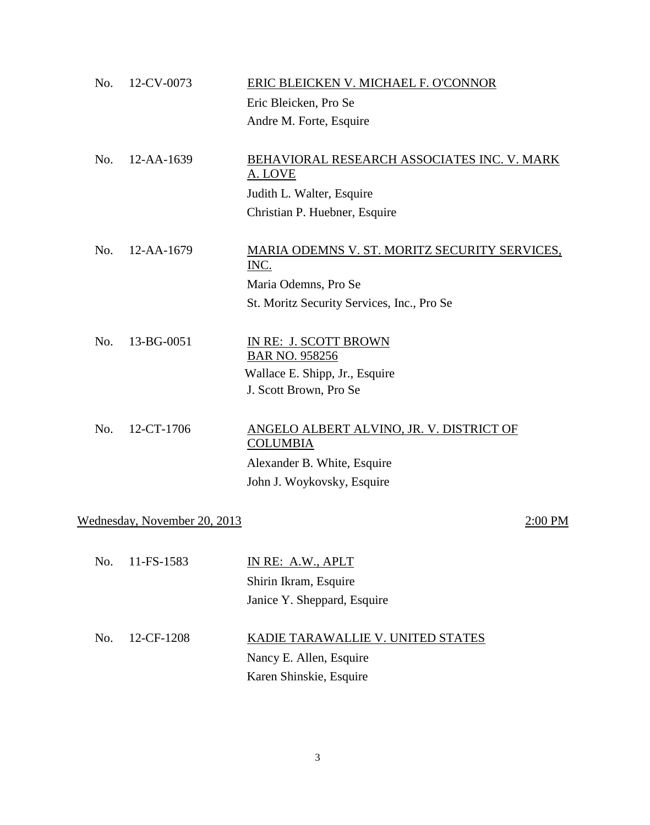| No. | 12-CV-0073                   | ERIC BLEICKEN V. MICHAEL F. O'CONNOR                                                                                     |
|-----|------------------------------|--------------------------------------------------------------------------------------------------------------------------|
|     |                              | Eric Bleicken, Pro Se                                                                                                    |
|     |                              | Andre M. Forte, Esquire                                                                                                  |
| No. | 12-AA-1639                   | BEHAVIORAL RESEARCH ASSOCIATES INC. V. MARK<br>A. LOVE                                                                   |
|     |                              | Judith L. Walter, Esquire                                                                                                |
|     |                              | Christian P. Huebner, Esquire                                                                                            |
| No. | 12-AA-1679                   | MARIA ODEMNS V. ST. MORITZ SECURITY SERVICES,<br>INC.                                                                    |
|     |                              | Maria Odemns, Pro Se                                                                                                     |
|     |                              | St. Moritz Security Services, Inc., Pro Se                                                                               |
| No. | 13-BG-0051                   | IN RE: J. SCOTT BROWN<br><b>BAR NO. 958256</b><br>Wallace E. Shipp, Jr., Esquire<br>J. Scott Brown, Pro Se               |
| No. | 12-CT-1706                   | ANGELO ALBERT ALVINO, JR. V. DISTRICT OF<br><b>COLUMBIA</b><br>Alexander B. White, Esquire<br>John J. Woykovsky, Esquire |
|     | Wednesday, November 20, 2013 | 2:00 PM                                                                                                                  |
|     |                              |                                                                                                                          |
| No. | 11-FS-1583                   | IN RE: A.W., APLT                                                                                                        |
|     |                              | Shirin Ikram, Esquire                                                                                                    |
|     |                              | Janice Y. Sheppard, Esquire                                                                                              |
| No. | 12-CF-1208                   | KADIE TARAWALLIE V. UNITED STATES                                                                                        |
|     |                              | Nancy E. Allen, Esquire                                                                                                  |
|     |                              |                                                                                                                          |

Karen Shinskie, Esquire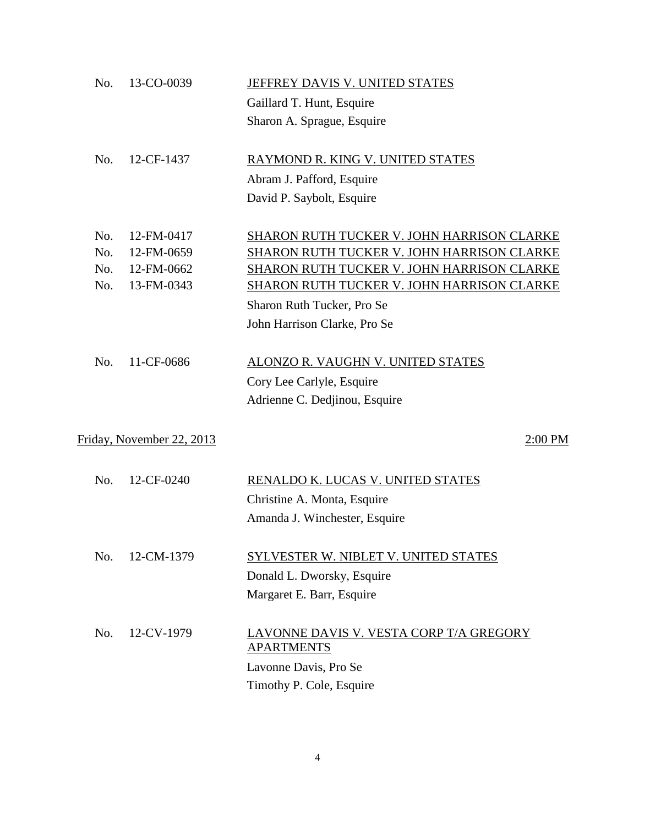| No. | 13-CO-0039                | JEFFREY DAVIS V. UNITED STATES                               |
|-----|---------------------------|--------------------------------------------------------------|
|     |                           | Gaillard T. Hunt, Esquire                                    |
|     |                           | Sharon A. Sprague, Esquire                                   |
| No. | 12-CF-1437                | RAYMOND R. KING V. UNITED STATES                             |
|     |                           | Abram J. Pafford, Esquire                                    |
|     |                           | David P. Saybolt, Esquire                                    |
| No. | 12-FM-0417                | SHARON RUTH TUCKER V. JOHN HARRISON CLARKE                   |
| No. | 12-FM-0659                | SHARON RUTH TUCKER V. JOHN HARRISON CLARKE                   |
| No. | 12-FM-0662                | SHARON RUTH TUCKER V. JOHN HARRISON CLARKE                   |
| No. | 13-FM-0343                | <b>SHARON RUTH TUCKER V. JOHN HARRISON CLARKE</b>            |
|     |                           | Sharon Ruth Tucker, Pro Se                                   |
|     |                           | John Harrison Clarke, Pro Se                                 |
| No. | 11-CF-0686                | ALONZO R. VAUGHN V. UNITED STATES                            |
|     |                           | Cory Lee Carlyle, Esquire                                    |
|     |                           | Adrienne C. Dedjinou, Esquire                                |
|     | Friday, November 22, 2013 | 2:00 PM                                                      |
| No. | 12-CF-0240                | RENALDO K. LUCAS V. UNITED STATES                            |
|     |                           | Christine A. Monta, Esquire                                  |
|     |                           | Amanda J. Winchester, Esquire                                |
|     |                           |                                                              |
| No. | 12-CM-1379                | SYLVESTER W. NIBLET V. UNITED STATES                         |
|     |                           | Donald L. Dworsky, Esquire                                   |
|     |                           | Margaret E. Barr, Esquire                                    |
| No. | 12-CV-1979                | LAVONNE DAVIS V. VESTA CORP T/A GREGORY<br><b>APARTMENTS</b> |
|     |                           | Lavonne Davis, Pro Se                                        |
|     |                           | Timothy P. Cole, Esquire                                     |
|     |                           |                                                              |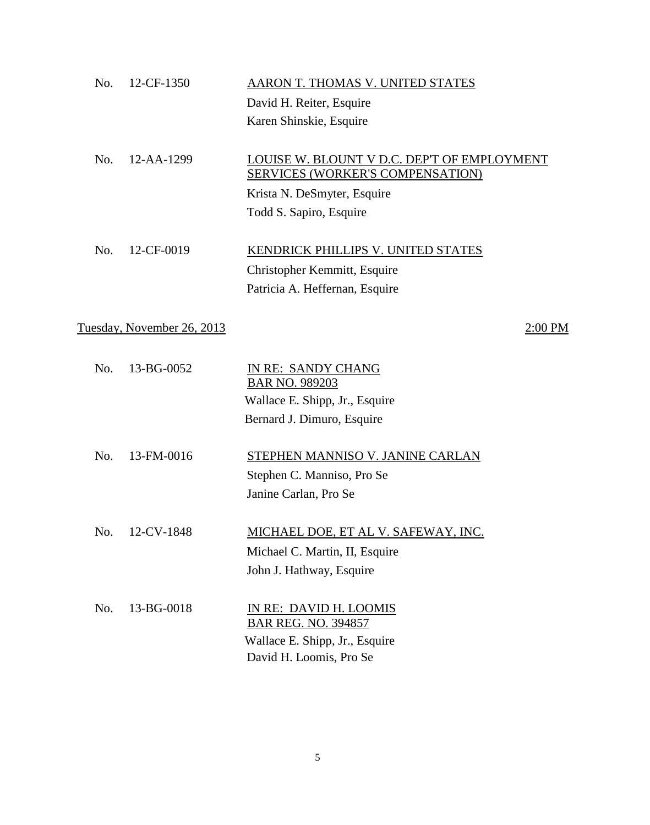| No. | 12-CF-1350                 | AARON T. THOMAS V. UNITED STATES            |
|-----|----------------------------|---------------------------------------------|
|     |                            |                                             |
|     |                            | David H. Reiter, Esquire                    |
|     |                            | Karen Shinskie, Esquire                     |
| No. | 12-AA-1299                 | LOUISE W. BLOUNT V D.C. DEP'T OF EMPLOYMENT |
|     |                            | <b>SERVICES (WORKER'S COMPENSATION)</b>     |
|     |                            | Krista N. DeSmyter, Esquire                 |
|     |                            | Todd S. Sapiro, Esquire                     |
| No. | 12-CF-0019                 | KENDRICK PHILLIPS V. UNITED STATES          |
|     |                            |                                             |
|     |                            | Christopher Kemmitt, Esquire                |
|     |                            | Patricia A. Heffernan, Esquire              |
|     | Tuesday, November 26, 2013 | 2:00 PM                                     |
|     | 13-BG-0052                 |                                             |
| No. |                            | IN RE: SANDY CHANG<br>BAR NO. 989203        |
|     |                            | Wallace E. Shipp, Jr., Esquire              |
|     |                            | Bernard J. Dimuro, Esquire                  |
|     |                            |                                             |
| No. | 13-FM-0016                 | STEPHEN MANNISO V. JANINE CARLAN            |
|     |                            | Stephen C. Manniso, Pro Se                  |
|     |                            | Janine Carlan, Pro Se                       |
|     |                            |                                             |
| No. | 12-CV-1848                 | <u>MICHAEL DOE, ET AL V. SAFEWAY, INC.</u>  |
|     |                            | Michael C. Martin, II, Esquire              |
|     |                            | John J. Hathway, Esquire                    |
| No. | 13-BG-0018                 | IN RE: DAVID H. LOOMIS                      |
|     |                            | <b>BAR REG. NO. 394857</b>                  |
|     |                            | Wallace E. Shipp, Jr., Esquire              |
|     |                            | David H. Loomis, Pro Se                     |

5